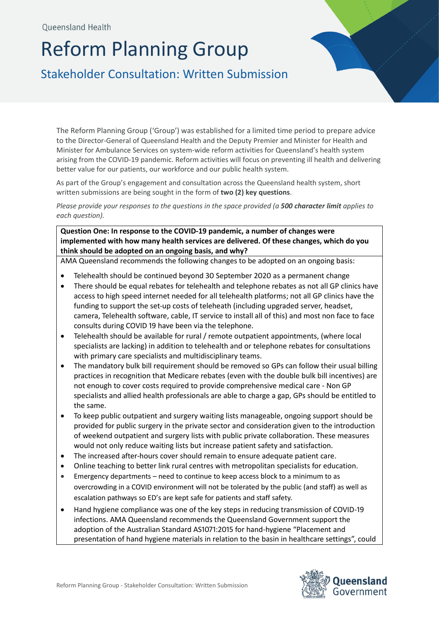## Reform Planning Group

Stakeholder Consultation: Written Submission

The Reform Planning Group ('Group') was established for a limited time period to prepare advice to the Director-General of Queensland Health and the Deputy Premier and Minister for Health and Minister for Ambulance Services on system-wide reform activities for Queensland's health system arising from the COVID-19 pandemic. Reform activities will focus on preventing ill health and delivering better value for our patients, our workforce and our public health system.

As part of the Group's engagement and consultation across the Queensland health system, short written submissions are being sought in the form of **two (2) key questions**.

*Please provide your responses to the questions in the space provided (a 500 character limit applies to each question).* 

**Question One: In response to the COVID-19 pandemic, a number of changes were implemented with how many health services are delivered. Of these changes, which do you think should be adopted on an ongoing basis, and why?**

AMA Queensland recommends the following changes to be adopted on an ongoing basis:

- Telehealth should be continued beyond 30 September 2020 as a permanent change
- There should be equal rebates for telehealth and telephone rebates as not all GP clinics have access to high speed internet needed for all telehealth platforms; not all GP clinics have the funding to support the set-up costs of teleheath (including upgraded server, headset, camera, Telehealth software, cable, IT service to install all of this) and most non face to face consults during COVID 19 have been via the telephone.
- Telehealth should be available for rural / remote outpatient appointments, (where local specialists are lacking) in addition to telehealth and or telephone rebates for consultations with primary care specialists and multidisciplinary teams.
- The mandatory bulk bill requirement should be removed so GPs can follow their usual billing practices in recognition that Medicare rebates (even with the double bulk bill incentives) are not enough to cover costs required to provide comprehensive medical care - Non GP specialists and allied health professionals are able to charge a gap, GPs should be entitled to the same.
- To keep public outpatient and surgery waiting lists manageable, ongoing support should be provided for public surgery in the private sector and consideration given to the introduction of weekend outpatient and surgery lists with public private collaboration. These measures would not only reduce waiting lists but increase patient safety and satisfaction.
- The increased after-hours cover should remain to ensure adequate patient care.
- Online teaching to better link rural centres with metropolitan specialists for education.
- Emergency departments need to continue to keep access block to a minimum to as overcrowding in a COVID environment will not be tolerated by the public (and staff) as well as escalation pathways so ED's are kept safe for patients and staff safety.
- Hand hygiene compliance was one of the key steps in reducing transmission of COVID-19 infections. AMA Queensland recommends the Queensland Government support the adoption of the Australian Standard AS1071:2015 for hand-hygiene "Placement and presentation of hand hygiene materials in relation to the basin in healthcare settings", could

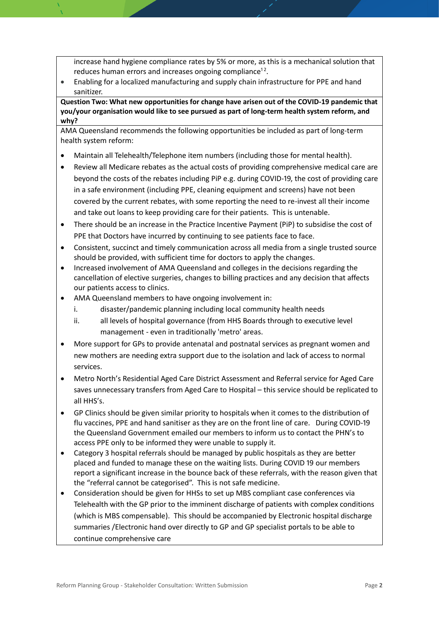increase hand hygiene compliance rates by 5% or more, as this is a mechanical solution that reduces human errors and increases ongoing compliance<sup>12</sup>.

 Enabling for a localized manufacturing and supply chain infrastructure for PPE and hand sanitizer.

**Question Two: What new opportunities for change have arisen out of the COVID-19 pandemic that you/your organisation would like to see pursued as part of long-term health system reform, and why?** 

AMA Queensland recommends the following opportunities be included as part of long-term health system reform:

- Maintain all Telehealth/Telephone item numbers (including those for mental health).
- Review all Medicare rebates as the actual costs of providing comprehensive medical care are beyond the costs of the rebates including PiP e.g. during COVID-19, the cost of providing care in a safe environment (including PPE, cleaning equipment and screens) have not been covered by the current rebates, with some reporting the need to re-invest all their income and take out loans to keep providing care for their patients. This is untenable.
- There should be an increase in the Practice Incentive Payment (PiP) to subsidise the cost of PPE that Doctors have incurred by continuing to see patients face to face.
- Consistent, succinct and timely communication across all media from a single trusted source should be provided, with sufficient time for doctors to apply the changes.
- Increased involvement of AMA Queensland and colleges in the decisions regarding the cancellation of elective surgeries, changes to billing practices and any decision that affects our patients access to clinics.
- AMA Queensland members to have ongoing involvement in:
	- i. disaster/pandemic planning including local community health needs
	- ii. all levels of hospital governance (from HHS Boards through to executive level management - even in traditionally 'metro' areas.
- More support for GPs to provide antenatal and postnatal services as pregnant women and new mothers are needing extra support due to the isolation and lack of access to normal services.
- Metro North's Residential Aged Care District Assessment and Referral service for Aged Care saves unnecessary transfers from Aged Care to Hospital – this service should be replicated to all HHS's.
- GP Clinics should be given similar priority to hospitals when it comes to the distribution of flu vaccines, PPE and hand sanitiser as they are on the front line of care. During COVID-19 the Queensland Government emailed our members to inform us to contact the PHN's to access PPE only to be informed they were unable to supply it.
- Category 3 hospital referrals should be managed by public hospitals as they are better placed and funded to manage these on the waiting lists. During COVID 19 our members report a significant increase in the bounce back of these referrals, with the reason given that the "referral cannot be categorised". This is not safe medicine.
- Consideration should be given for HHSs to set up MBS compliant case conferences via Telehealth with the GP prior to the imminent discharge of patients with complex conditions (which is MBS compensable). This should be accompanied by Electronic hospital discharge summaries /Electronic hand over directly to GP and GP specialist portals to be able to continue comprehensive care